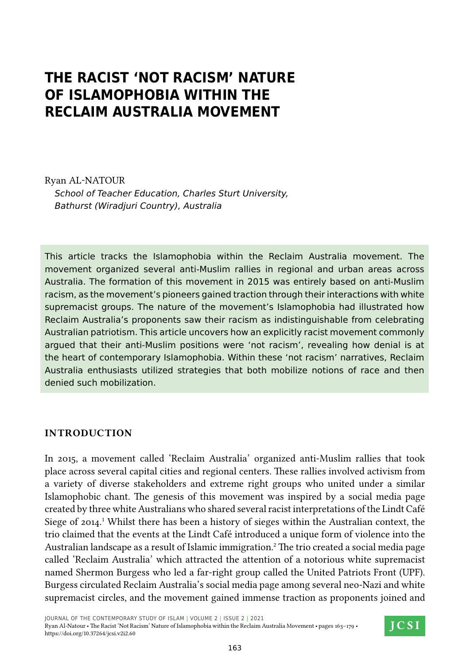# **The Racist 'Not Racism' Nature of Islamophobia within the Reclaim Australia Movement**

Ryan Al-Natour *School of Teacher Education, Charles Sturt University, Bathurst (Wiradjuri Country), Australia*

This article tracks the Islamophobia within the Reclaim Australia movement. The movement organized several anti-Muslim rallies in regional and urban areas across Australia. The formation of this movement in 2015 was entirely based on anti-Muslim racism, as the movement's pioneers gained traction through their interactions with white supremacist groups. The nature of the movement's Islamophobia had illustrated how Reclaim Australia's proponents saw their racism as indistinguishable from celebrating Australian patriotism. This article uncovers how an explicitly racist movement commonly argued that their anti-Muslim positions were 'not racism', revealing how denial is at the heart of contemporary Islamophobia. Within these 'not racism' narratives, Reclaim Australia enthusiasts utilized strategies that both mobilize notions of race and then denied such mobilization.

#### **Introduction**

In 2015, a movement called 'Reclaim Australia' organized anti-Muslim rallies that took place across several capital cities and regional centers. These rallies involved activism from a variety of diverse stakeholders and extreme right groups who united under a similar Islamophobic chant. The genesis of this movement was inspired by a social media page created by three white Australians who shared several racist interpretations of the Lindt Café Siege of 2014.<sup>1</sup> Whilst there has been a history of sieges within the Australian context, the trio claimed that the events at the Lindt Café introduced a unique form of violence into the Australian landscape as a result of Islamic immigration.<sup>2</sup> The trio created a social media page called 'Reclaim Australia' which attracted the attention of a notorious white supremacist named Shermon Burgess who led a far-right group called the United Patriots Front (UPF). Burgess circulated Reclaim Australia's social media page among several neo-Nazi and white supremacist circles, and the movement gained immense traction as proponents joined and

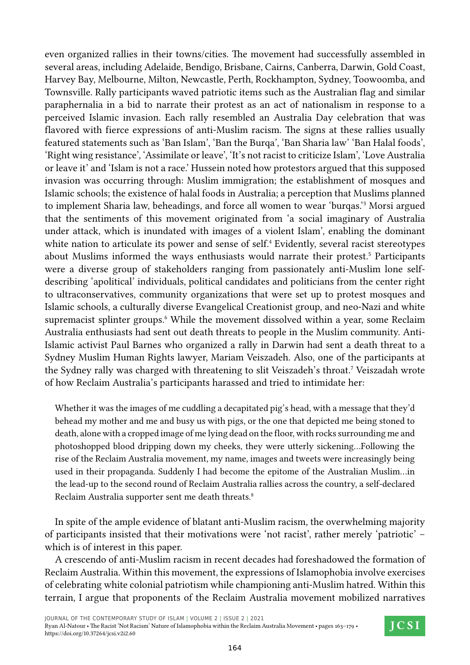even organized rallies in their towns/cities. The movement had successfully assembled in several areas, including Adelaide, Bendigo, Brisbane, Cairns, Canberra, Darwin, Gold Coast, Harvey Bay, Melbourne, Milton, Newcastle, Perth, Rockhampton, Sydney, Toowoomba, and Townsville. Rally participants waved patriotic items such as the Australian flag and similar paraphernalia in a bid to narrate their protest as an act of nationalism in response to a perceived Islamic invasion. Each rally resembled an Australia Day celebration that was flavored with fierce expressions of anti-Muslim racism. The signs at these rallies usually featured statements such as 'Ban Islam', 'Ban the Burqa', 'Ban Sharia law' 'Ban Halal foods', 'Right wing resistance', 'Assimilate or leave', 'It's not racist to criticize Islam', 'Love Australia or leave it' and 'Islam is not a race.' Hussein noted how protestors argued that this supposed invasion was occurring through: Muslim immigration; the establishment of mosques and Islamic schools; the existence of halal foods in Australia; a perception that Muslims planned to implement Sharia law, beheadings, and force all women to wear 'burqas.'<sup>3</sup> Morsi argued that the sentiments of this movement originated from 'a social imaginary of Australia under attack, which is inundated with images of a violent Islam', enabling the dominant white nation to articulate its power and sense of self.<sup>4</sup> Evidently, several racist stereotypes about Muslims informed the ways enthusiasts would narrate their protest.<sup>5</sup> Participants were a diverse group of stakeholders ranging from passionately anti-Muslim lone selfdescribing 'apolitical' individuals, political candidates and politicians from the center right to ultraconservatives, community organizations that were set up to protest mosques and Islamic schools, a culturally diverse Evangelical Creationist group, and neo-Nazi and white supremacist splinter groups.<sup>6</sup> While the movement dissolved within a year, some Reclaim Australia enthusiasts had sent out death threats to people in the Muslim community. Anti-Islamic activist Paul Barnes who organized a rally in Darwin had sent a death threat to a Sydney Muslim Human Rights lawyer, Mariam Veiszadeh. Also, one of the participants at the Sydney rally was charged with threatening to slit Veiszadeh's throat.<sup>7</sup> Veiszadah wrote of how Reclaim Australia's participants harassed and tried to intimidate her:

Whether it was the images of me cuddling a decapitated pig's head, with a message that they'd behead my mother and me and busy us with pigs, or the one that depicted me being stoned to death, alone with a cropped image of me lying dead on the floor, with rocks surrounding me and photoshopped blood dripping down my cheeks, they were utterly sickening…Following the rise of the Reclaim Australia movement, my name, images and tweets were increasingly being used in their propaganda. Suddenly I had become the epitome of the Australian Muslim…in the lead-up to the second round of Reclaim Australia rallies across the country, a self-declared Reclaim Australia supporter sent me death threats.<sup>8</sup>

In spite of the ample evidence of blatant anti-Muslim racism, the overwhelming majority of participants insisted that their motivations were 'not racist', rather merely 'patriotic' – which is of interest in this paper.

A crescendo of anti-Muslim racism in recent decades had foreshadowed the formation of Reclaim Australia. Within this movement, the expressions of Islamophobia involve exercises of celebrating white colonial patriotism while championing anti-Muslim hatred. Within this terrain, I argue that proponents of the Reclaim Australia movement mobilized narratives

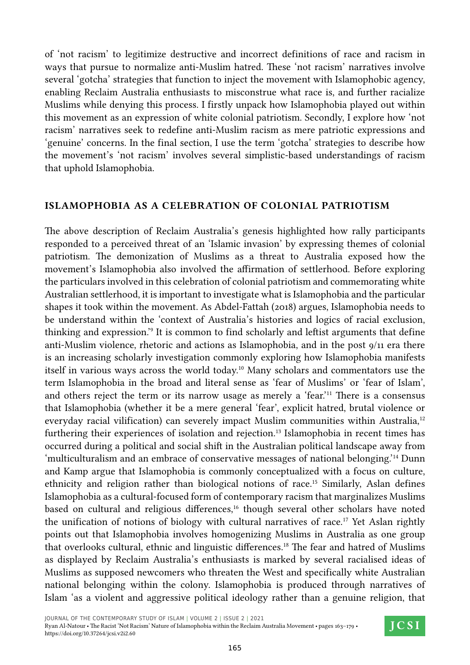of 'not racism' to legitimize destructive and incorrect definitions of race and racism in ways that pursue to normalize anti-Muslim hatred. These 'not racism' narratives involve several 'gotcha' strategies that function to inject the movement with Islamophobic agency, enabling Reclaim Australia enthusiasts to misconstrue what race is, and further racialize Muslims while denying this process. I firstly unpack how Islamophobia played out within this movement as an expression of white colonial patriotism. Secondly, I explore how 'not racism' narratives seek to redefine anti-Muslim racism as mere patriotic expressions and 'genuine' concerns. In the final section, I use the term 'gotcha' strategies to describe how the movement's 'not racism' involves several simplistic-based understandings of racism that uphold Islamophobia.

## **Islamophobia as a Celebration of Colonial Patriotism**

The above description of Reclaim Australia's genesis highlighted how rally participants responded to a perceived threat of an 'Islamic invasion' by expressing themes of colonial patriotism. The demonization of Muslims as a threat to Australia exposed how the movement's Islamophobia also involved the affirmation of settlerhood. Before exploring the particulars involved in this celebration of colonial patriotism and commemorating white Australian settlerhood, it is important to investigate what is Islamophobia and the particular shapes it took within the movement. As Abdel-Fattah (2018) argues, Islamophobia needs to be understand within the 'context of Australia's histories and logics of racial exclusion, thinking and expression.<sup>39</sup> It is common to find scholarly and leftist arguments that define anti-Muslim violence, rhetoric and actions as Islamophobia, and in the post 9/11 era there is an increasing scholarly investigation commonly exploring how Islamophobia manifests itself in various ways across the world today.10 Many scholars and commentators use the term Islamophobia in the broad and literal sense as 'fear of Muslims' or 'fear of Islam', and others reject the term or its narrow usage as merely a 'fear.'11 There is a consensus that Islamophobia (whether it be a mere general 'fear', explicit hatred, brutal violence or everyday racial vilification) can severely impact Muslim communities within Australia,<sup>12</sup> furthering their experiences of isolation and rejection.<sup>13</sup> Islamophobia in recent times has occurred during a political and social shift in the Australian political landscape away from 'multiculturalism and an embrace of conservative messages of national belonging.'14 Dunn and Kamp argue that Islamophobia is commonly conceptualized with a focus on culture, ethnicity and religion rather than biological notions of race.15 Similarly, Aslan defines Islamophobia as a cultural-focused form of contemporary racism that marginalizes Muslims based on cultural and religious differences,<sup>16</sup> though several other scholars have noted the unification of notions of biology with cultural narratives of race.17 Yet Aslan rightly points out that Islamophobia involves homogenizing Muslims in Australia as one group that overlooks cultural, ethnic and linguistic differences.<sup>18</sup> The fear and hatred of Muslims as displayed by Reclaim Australia's enthusiasts is marked by several racialised ideas of Muslims as supposed newcomers who threaten the West and specifically white Australian national belonging within the colony. Islamophobia is produced through narratives of Islam 'as a violent and aggressive political ideology rather than a genuine religion, that

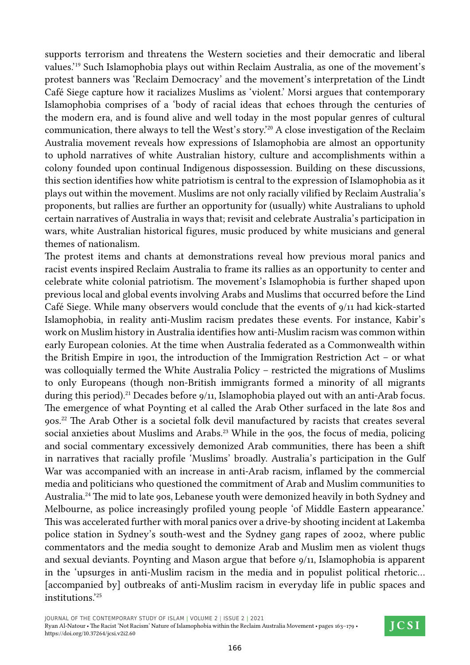supports terrorism and threatens the Western societies and their democratic and liberal values.'19 Such Islamophobia plays out within Reclaim Australia, as one of the movement's protest banners was 'Reclaim Democracy' and the movement's interpretation of the Lindt Café Siege capture how it racializes Muslims as 'violent.' Morsi argues that contemporary Islamophobia comprises of a 'body of racial ideas that echoes through the centuries of the modern era, and is found alive and well today in the most popular genres of cultural communication, there always to tell the West's story.'20 A close investigation of the Reclaim Australia movement reveals how expressions of Islamophobia are almost an opportunity to uphold narratives of white Australian history, culture and accomplishments within a colony founded upon continual Indigenous dispossession. Building on these discussions, this section identifies how white patriotism is central to the expression of Islamophobia as it plays out within the movement. Muslims are not only racially vilified by Reclaim Australia's proponents, but rallies are further an opportunity for (usually) white Australians to uphold certain narratives of Australia in ways that; revisit and celebrate Australia's participation in wars, white Australian historical figures, music produced by white musicians and general themes of nationalism.

The protest items and chants at demonstrations reveal how previous moral panics and racist events inspired Reclaim Australia to frame its rallies as an opportunity to center and celebrate white colonial patriotism. The movement's Islamophobia is further shaped upon previous local and global events involving Arabs and Muslims that occurred before the Lind Café Siege. While many observers would conclude that the events of 9/11 had kick-started Islamophobia, in reality anti-Muslim racism predates these events. For instance, Kabir's work on Muslim history in Australia identifies how anti-Muslim racism was common within early European colonies. At the time when Australia federated as a Commonwealth within the British Empire in 1901, the introduction of the Immigration Restriction Act – or what was colloquially termed the White Australia Policy – restricted the migrations of Muslims to only Europeans (though non-British immigrants formed a minority of all migrants during this period).<sup>21</sup> Decades before  $9/11$ , Islamophobia played out with an anti-Arab focus. The emergence of what Poynting et al called the Arab Other surfaced in the late 80s and 90s.22 The Arab Other is a societal folk devil manufactured by racists that creates several social anxieties about Muslims and Arabs.<sup>23</sup> While in the 90s, the focus of media, policing and social commentary excessively demonized Arab communities, there has been a shift in narratives that racially profile 'Muslims' broadly. Australia's participation in the Gulf War was accompanied with an increase in anti-Arab racism, inflamed by the commercial media and politicians who questioned the commitment of Arab and Muslim communities to Australia.<sup>24</sup> The mid to late 90s, Lebanese youth were demonized heavily in both Sydney and Melbourne, as police increasingly profiled young people 'of Middle Eastern appearance.' This was accelerated further with moral panics over a drive-by shooting incident at Lakemba police station in Sydney's south-west and the Sydney gang rapes of 2002, where public commentators and the media sought to demonize Arab and Muslim men as violent thugs and sexual deviants. Poynting and Mason argue that before 9/11, Islamophobia is apparent in the 'upsurges in anti-Muslim racism in the media and in populist political rhetoric… [accompanied by] outbreaks of anti-Muslim racism in everyday life in public spaces and institutions.'25

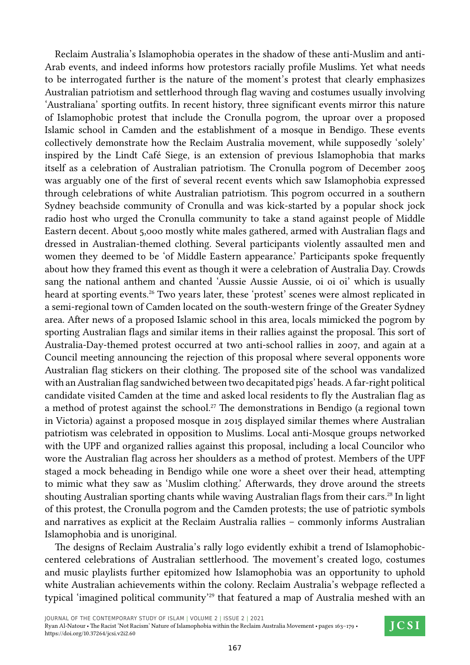Reclaim Australia's Islamophobia operates in the shadow of these anti-Muslim and anti-Arab events, and indeed informs how protestors racially profile Muslims. Yet what needs to be interrogated further is the nature of the moment's protest that clearly emphasizes Australian patriotism and settlerhood through flag waving and costumes usually involving 'Australiana' sporting outfits. In recent history, three significant events mirror this nature of Islamophobic protest that include the Cronulla pogrom, the uproar over a proposed Islamic school in Camden and the establishment of a mosque in Bendigo. These events collectively demonstrate how the Reclaim Australia movement, while supposedly 'solely' inspired by the Lindt Café Siege, is an extension of previous Islamophobia that marks itself as a celebration of Australian patriotism. The Cronulla pogrom of December 2005 was arguably one of the first of several recent events which saw Islamophobia expressed through celebrations of white Australian patriotism. This pogrom occurred in a southern Sydney beachside community of Cronulla and was kick-started by a popular shock jock radio host who urged the Cronulla community to take a stand against people of Middle Eastern decent. About 5,000 mostly white males gathered, armed with Australian flags and dressed in Australian-themed clothing. Several participants violently assaulted men and women they deemed to be 'of Middle Eastern appearance.' Participants spoke frequently about how they framed this event as though it were a celebration of Australia Day. Crowds sang the national anthem and chanted 'Aussie Aussie Aussie, oi oi oi' which is usually heard at sporting events.<sup>26</sup> Two years later, these 'protest' scenes were almost replicated in a semi-regional town of Camden located on the south-western fringe of the Greater Sydney area. After news of a proposed Islamic school in this area, locals mimicked the pogrom by sporting Australian flags and similar items in their rallies against the proposal. This sort of Australia-Day-themed protest occurred at two anti-school rallies in 2007, and again at a Council meeting announcing the rejection of this proposal where several opponents wore Australian flag stickers on their clothing. The proposed site of the school was vandalized with an Australian flag sandwiched between two decapitated pigs' heads. A far-right political candidate visited Camden at the time and asked local residents to fly the Australian flag as a method of protest against the school.<sup>27</sup> The demonstrations in Bendigo (a regional town in Victoria) against a proposed mosque in 2015 displayed similar themes where Australian patriotism was celebrated in opposition to Muslims. Local anti-Mosque groups networked with the UPF and organized rallies against this proposal, including a local Councilor who wore the Australian flag across her shoulders as a method of protest. Members of the UPF staged a mock beheading in Bendigo while one wore a sheet over their head, attempting to mimic what they saw as 'Muslim clothing.' Afterwards, they drove around the streets shouting Australian sporting chants while waving Australian flags from their cars.<sup>28</sup> In light of this protest, the Cronulla pogrom and the Camden protests; the use of patriotic symbols and narratives as explicit at the Reclaim Australia rallies – commonly informs Australian Islamophobia and is unoriginal.

The designs of Reclaim Australia's rally logo evidently exhibit a trend of Islamophobiccentered celebrations of Australian settlerhood. The movement's created logo, costumes and music playlists further epitomized how Islamophobia was an opportunity to uphold white Australian achievements within the colony. Reclaim Australia's webpage reflected a typical 'imagined political community'<sup>29</sup> that featured a map of Australia meshed with an

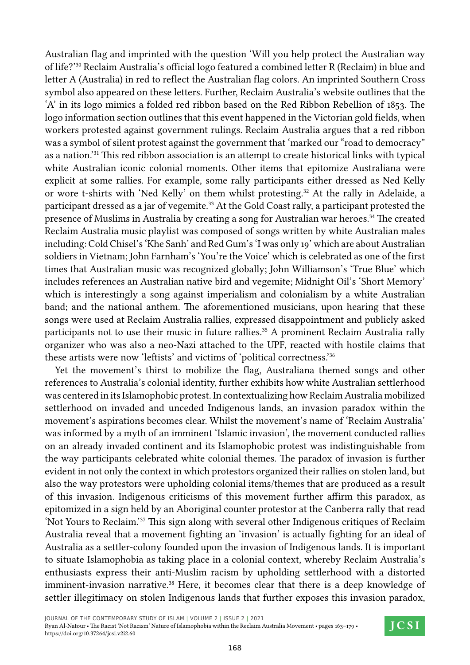Australian flag and imprinted with the question 'Will you help protect the Australian way of life?'30 Reclaim Australia's official logo featured a combined letter R (Reclaim) in blue and letter A (Australia) in red to reflect the Australian flag colors. An imprinted Southern Cross symbol also appeared on these letters. Further, Reclaim Australia's website outlines that the 'A' in its logo mimics a folded red ribbon based on the Red Ribbon Rebellion of 1853. The logo information section outlines that this event happened in the Victorian gold fields, when workers protested against government rulings. Reclaim Australia argues that a red ribbon was a symbol of silent protest against the government that 'marked our "road to democracy" as a nation.'31 This red ribbon association is an attempt to create historical links with typical white Australian iconic colonial moments. Other items that epitomize Australiana were explicit at some rallies. For example, some rally participants either dressed as Ned Kelly or wore t-shirts with 'Ned Kelly' on them whilst protesting.<sup>32</sup> At the rally in Adelaide, a participant dressed as a jar of vegemite.<sup>33</sup> At the Gold Coast rally, a participant protested the presence of Muslims in Australia by creating a song for Australian war heroes.<sup>34</sup> The created Reclaim Australia music playlist was composed of songs written by white Australian males including: Cold Chisel's 'Khe Sanh' and Red Gum's 'I was only 19' which are about Australian soldiers in Vietnam; John Farnham's 'You're the Voice' which is celebrated as one of the first times that Australian music was recognized globally; John Williamson's 'True Blue' which includes references an Australian native bird and vegemite; Midnight Oil's 'Short Memory' which is interestingly a song against imperialism and colonialism by a white Australian band; and the national anthem. The aforementioned musicians, upon hearing that these songs were used at Reclaim Australia rallies, expressed disappointment and publicly asked participants not to use their music in future rallies.<sup>35</sup> A prominent Reclaim Australia rally organizer who was also a neo-Nazi attached to the UPF, reacted with hostile claims that these artists were now 'leftists' and victims of 'political correctness.'<sup>36</sup>

Yet the movement's thirst to mobilize the flag, Australiana themed songs and other references to Australia's colonial identity, further exhibits how white Australian settlerhood was centered in its Islamophobic protest. In contextualizing how Reclaim Australia mobilized settlerhood on invaded and unceded Indigenous lands, an invasion paradox within the movement's aspirations becomes clear. Whilst the movement's name of 'Reclaim Australia' was informed by a myth of an imminent 'Islamic invasion', the movement conducted rallies on an already invaded continent and its Islamophobic protest was indistinguishable from the way participants celebrated white colonial themes. The paradox of invasion is further evident in not only the context in which protestors organized their rallies on stolen land, but also the way protestors were upholding colonial items/themes that are produced as a result of this invasion. Indigenous criticisms of this movement further affirm this paradox, as epitomized in a sign held by an Aboriginal counter protestor at the Canberra rally that read 'Not Yours to Reclaim.'37 This sign along with several other Indigenous critiques of Reclaim Australia reveal that a movement fighting an 'invasion' is actually fighting for an ideal of Australia as a settler-colony founded upon the invasion of Indigenous lands. It is important to situate Islamophobia as taking place in a colonial context, whereby Reclaim Australia's enthusiasts express their anti-Muslim racism by upholding settlerhood with a distorted imminent-invasion narrative.<sup>38</sup> Here, it becomes clear that there is a deep knowledge of settler illegitimacy on stolen Indigenous lands that further exposes this invasion paradox,

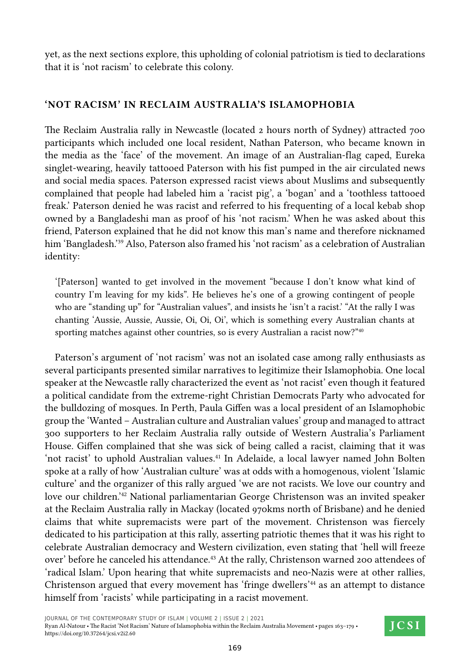yet, as the next sections explore, this upholding of colonial patriotism is tied to declarations that it is 'not racism' to celebrate this colony.

## **'Not Racism' in Reclaim Australia's Islamophobia**

The Reclaim Australia rally in Newcastle (located 2 hours north of Sydney) attracted 700 participants which included one local resident, Nathan Paterson, who became known in the media as the 'face' of the movement. An image of an Australian-flag caped, Eureka singlet-wearing, heavily tattooed Paterson with his fist pumped in the air circulated news and social media spaces. Paterson expressed racist views about Muslims and subsequently complained that people had labeled him a 'racist pig', a 'bogan' and a 'toothless tattooed freak.' Paterson denied he was racist and referred to his frequenting of a local kebab shop owned by a Bangladeshi man as proof of his 'not racism.' When he was asked about this friend, Paterson explained that he did not know this man's name and therefore nicknamed him 'Bangladesh.'<sup>39</sup> Also, Paterson also framed his 'not racism' as a celebration of Australian identity:

'[Paterson] wanted to get involved in the movement "because I don't know what kind of country I'm leaving for my kids". He believes he's one of a growing contingent of people who are "standing up" for "Australian values", and insists he 'isn't a racist.' "At the rally I was chanting 'Aussie, Aussie, Aussie, Oi, Oi, Oi', which is something every Australian chants at sporting matches against other countries, so is every Australian a racist now?"<sup>40</sup>

Paterson's argument of 'not racism' was not an isolated case among rally enthusiasts as several participants presented similar narratives to legitimize their Islamophobia. One local speaker at the Newcastle rally characterized the event as 'not racist' even though it featured a political candidate from the extreme-right Christian Democrats Party who advocated for the bulldozing of mosques. In Perth, Paula Giffen was a local president of an Islamophobic group the 'Wanted – Australian culture and Australian values' group and managed to attract 300 supporters to her Reclaim Australia rally outside of Western Australia's Parliament House. Giffen complained that she was sick of being called a racist, claiming that it was 'not racist' to uphold Australian values.<sup>41</sup> In Adelaide, a local lawyer named John Bolten spoke at a rally of how 'Australian culture' was at odds with a homogenous, violent 'Islamic culture' and the organizer of this rally argued 'we are not racists. We love our country and love our children.'42 National parliamentarian George Christenson was an invited speaker at the Reclaim Australia rally in Mackay (located 970kms north of Brisbane) and he denied claims that white supremacists were part of the movement. Christenson was fiercely dedicated to his participation at this rally, asserting patriotic themes that it was his right to celebrate Australian democracy and Western civilization, even stating that 'hell will freeze over' before he canceled his attendance.<sup>43</sup> At the rally, Christenson warned 200 attendees of 'radical Islam.' Upon hearing that white supremacists and neo-Nazis were at other rallies, Christenson argued that every movement has 'fringe dwellers'<sup>44</sup> as an attempt to distance himself from 'racists' while participating in a racist movement.

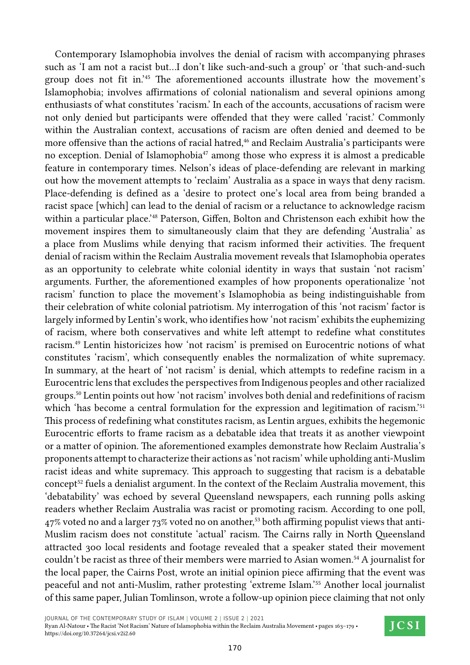Contemporary Islamophobia involves the denial of racism with accompanying phrases such as 'I am not a racist but…I don't like such-and-such a group' or 'that such-and-such group does not fit in.'45 The aforementioned accounts illustrate how the movement's Islamophobia; involves affirmations of colonial nationalism and several opinions among enthusiasts of what constitutes 'racism.' In each of the accounts, accusations of racism were not only denied but participants were offended that they were called 'racist.' Commonly within the Australian context, accusations of racism are often denied and deemed to be more offensive than the actions of racial hatred,<sup>46</sup> and Reclaim Australia's participants were no exception. Denial of Islamophobia47 among those who express it is almost a predicable feature in contemporary times. Nelson's ideas of place-defending are relevant in marking out how the movement attempts to 'reclaim' Australia as a space in ways that deny racism. Place-defending is defined as a 'desire to protect one's local area from being branded a racist space [which] can lead to the denial of racism or a reluctance to acknowledge racism within a particular place.<sup>'48</sup> Paterson, Giffen, Bolton and Christenson each exhibit how the movement inspires them to simultaneously claim that they are defending 'Australia' as a place from Muslims while denying that racism informed their activities. The frequent denial of racism within the Reclaim Australia movement reveals that Islamophobia operates as an opportunity to celebrate white colonial identity in ways that sustain 'not racism' arguments. Further, the aforementioned examples of how proponents operationalize 'not racism' function to place the movement's Islamophobia as being indistinguishable from their celebration of white colonial patriotism. My interrogation of this 'not racism' factor is largely informed by Lentin's work, who identifies how 'not racism' exhibits the euphemizing of racism, where both conservatives and white left attempt to redefine what constitutes racism.49 Lentin historicizes how 'not racism' is premised on Eurocentric notions of what constitutes 'racism', which consequently enables the normalization of white supremacy. In summary, at the heart of 'not racism' is denial, which attempts to redefine racism in a Eurocentric lens that excludes the perspectives from Indigenous peoples and other racialized groups.50 Lentin points out how 'not racism' involves both denial and redefinitions of racism which 'has become a central formulation for the expression and legitimation of racism.'<sup>51</sup> This process of redefining what constitutes racism, as Lentin argues, exhibits the hegemonic Eurocentric efforts to frame racism as a debatable idea that treats it as another viewpoint or a matter of opinion. The aforementioned examples demonstrate how Reclaim Australia's proponents attempt to characterize their actions as 'not racism' while upholding anti-Muslim racist ideas and white supremacy. This approach to suggesting that racism is a debatable concept<sup>52</sup> fuels a denialist argument. In the context of the Reclaim Australia movement, this 'debatability' was echoed by several Queensland newspapers, each running polls asking readers whether Reclaim Australia was racist or promoting racism. According to one poll,  $47\%$  voted no and a larger  $73\%$  voted no on another,<sup>53</sup> both affirming populist views that anti-Muslim racism does not constitute 'actual' racism. The Cairns rally in North Queensland attracted 300 local residents and footage revealed that a speaker stated their movement couldn't be racist as three of their members were married to Asian women.<sup>54</sup> A journalist for the local paper, the Cairns Post, wrote an initial opinion piece affirming that the event was peaceful and not anti-Muslim, rather protesting 'extreme Islam.'55 Another local journalist of this same paper, Julian Tomlinson, wrote a follow-up opinion piece claiming that not only

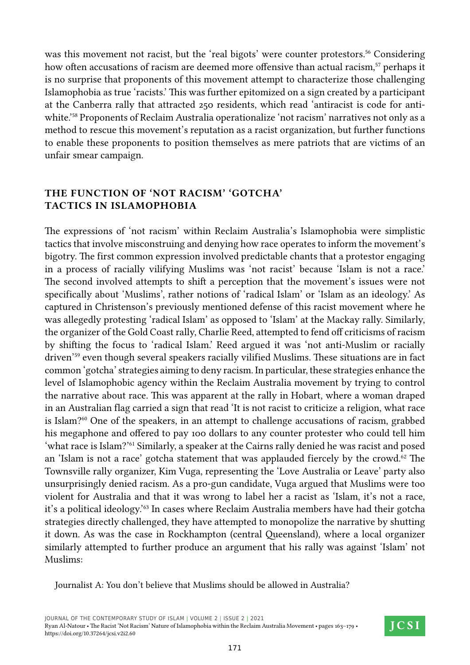was this movement not racist, but the 'real bigots' were counter protestors.<sup>56</sup> Considering how often accusations of racism are deemed more offensive than actual racism,<sup>57</sup> perhaps it is no surprise that proponents of this movement attempt to characterize those challenging Islamophobia as true 'racists.' This was further epitomized on a sign created by a participant at the Canberra rally that attracted 250 residents, which read 'antiracist is code for antiwhite.'58 Proponents of Reclaim Australia operationalize 'not racism' narratives not only as a method to rescue this movement's reputation as a racist organization, but further functions to enable these proponents to position themselves as mere patriots that are victims of an unfair smear campaign.

## **The Function of 'Not Racism' 'Gotcha' Tactics in Islamophobia**

The expressions of 'not racism' within Reclaim Australia's Islamophobia were simplistic tactics that involve misconstruing and denying how race operates to inform the movement's bigotry. The first common expression involved predictable chants that a protestor engaging in a process of racially vilifying Muslims was 'not racist' because 'Islam is not a race.' The second involved attempts to shift a perception that the movement's issues were not specifically about 'Muslims', rather notions of 'radical Islam' or 'Islam as an ideology.' As captured in Christenson's previously mentioned defense of this racist movement where he was allegedly protesting 'radical Islam' as opposed to 'Islam' at the Mackay rally. Similarly, the organizer of the Gold Coast rally, Charlie Reed, attempted to fend off criticisms of racism by shifting the focus to 'radical Islam.' Reed argued it was 'not anti-Muslim or racially driven'59 even though several speakers racially vilified Muslims. These situations are in fact common 'gotcha' strategies aiming to deny racism. In particular, these strategies enhance the level of Islamophobic agency within the Reclaim Australia movement by trying to control the narrative about race. This was apparent at the rally in Hobart, where a woman draped in an Australian flag carried a sign that read 'It is not racist to criticize a religion, what race is Islam?<sup>60</sup> One of the speakers, in an attempt to challenge accusations of racism, grabbed his megaphone and offered to pay 100 dollars to any counter protester who could tell him 'what race is Islam?'61 Similarly, a speaker at the Cairns rally denied he was racist and posed an 'Islam is not a race' gotcha statement that was applauded fiercely by the crowd.<sup>62</sup> The Townsville rally organizer, Kim Vuga, representing the 'Love Australia or Leave' party also unsurprisingly denied racism. As a pro-gun candidate, Vuga argued that Muslims were too violent for Australia and that it was wrong to label her a racist as 'Islam, it's not a race, it's a political ideology.'63 In cases where Reclaim Australia members have had their gotcha strategies directly challenged, they have attempted to monopolize the narrative by shutting it down. As was the case in Rockhampton (central Queensland), where a local organizer similarly attempted to further produce an argument that his rally was against 'Islam' not Muslims:

Journalist A: You don't believe that Muslims should be allowed in Australia?

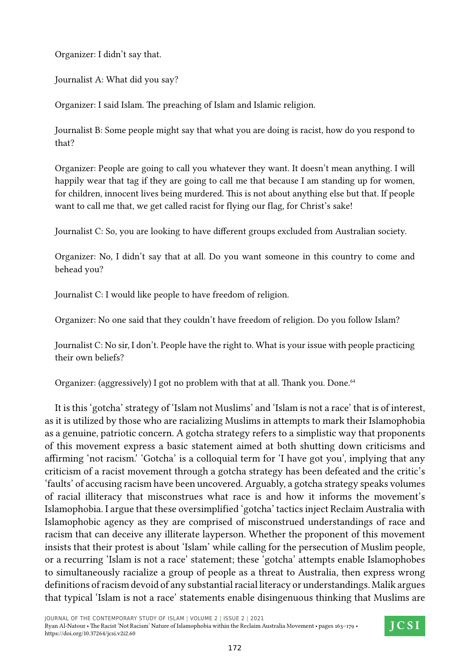Organizer: I didn't say that.

Journalist A: What did you say?

Organizer: I said Islam. The preaching of Islam and Islamic religion.

Journalist B: Some people might say that what you are doing is racist, how do you respond to that?

Organizer: People are going to call you whatever they want. It doesn't mean anything. I will happily wear that tag if they are going to call me that because I am standing up for women, for children, innocent lives being murdered. This is not about anything else but that. If people want to call me that, we get called racist for flying our flag, for Christ's sake!

Journalist C: So, you are looking to have different groups excluded from Australian society.

Organizer: No, I didn't say that at all. Do you want someone in this country to come and behead you?

Journalist C: I would like people to have freedom of religion.

Organizer: No one said that they couldn't have freedom of religion. Do you follow Islam?

Journalist C: No sir, I don't. People have the right to. What is your issue with people practicing their own beliefs?

Organizer: (aggressively) I got no problem with that at all. Thank you. Done.<sup>64</sup>

It is this 'gotcha' strategy of 'Islam not Muslims' and 'Islam is not a race' that is of interest, as it is utilized by those who are racializing Muslims in attempts to mark their Islamophobia as a genuine, patriotic concern. A gotcha strategy refers to a simplistic way that proponents of this movement express a basic statement aimed at both shutting down criticisms and affirming 'not racism.' 'Gotcha' is a colloquial term for 'I have got you', implying that any criticism of a racist movement through a gotcha strategy has been defeated and the critic's 'faults' of accusing racism have been uncovered. Arguably, a gotcha strategy speaks volumes of racial illiteracy that misconstrues what race is and how it informs the movement's Islamophobia. I argue that these oversimplified 'gotcha' tactics inject Reclaim Australia with Islamophobic agency as they are comprised of misconstrued understandings of race and racism that can deceive any illiterate layperson. Whether the proponent of this movement insists that their protest is about 'Islam' while calling for the persecution of Muslim people, or a recurring 'Islam is not a race' statement; these 'gotcha' attempts enable Islamophobes to simultaneously racialize a group of people as a threat to Australia, then express wrong definitions of racism devoid of any substantial racial literacy or understandings. Malik argues that typical 'Islam is not a race' statements enable disingenuous thinking that Muslims are

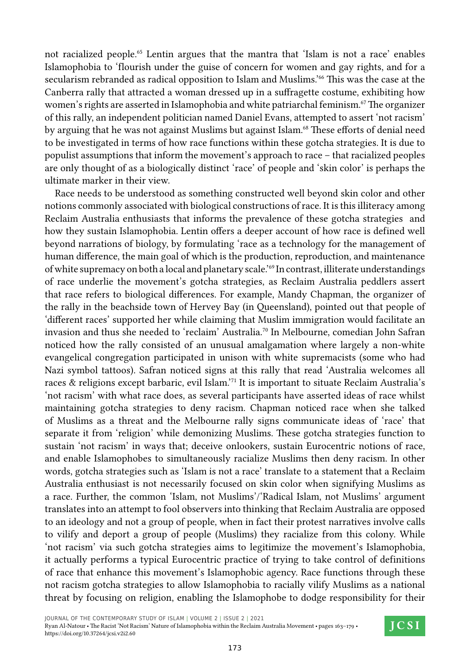not racialized people.<sup>65</sup> Lentin argues that the mantra that 'Islam is not a race' enables Islamophobia to 'flourish under the guise of concern for women and gay rights, and for a secularism rebranded as radical opposition to Islam and Muslims.'<sup>66</sup> This was the case at the Canberra rally that attracted a woman dressed up in a suffragette costume, exhibiting how women's rights are asserted in Islamophobia and white patriarchal feminism.<sup>67</sup> The organizer of this rally, an independent politician named Daniel Evans, attempted to assert 'not racism' by arguing that he was not against Muslims but against Islam.<sup>68</sup> These efforts of denial need to be investigated in terms of how race functions within these gotcha strategies. It is due to populist assumptions that inform the movement's approach to race – that racialized peoples are only thought of as a biologically distinct 'race' of people and 'skin color' is perhaps the ultimate marker in their view.

Race needs to be understood as something constructed well beyond skin color and other notions commonly associated with biological constructions of race. It is this illiteracy among Reclaim Australia enthusiasts that informs the prevalence of these gotcha strategies and how they sustain Islamophobia. Lentin offers a deeper account of how race is defined well beyond narrations of biology, by formulating 'race as a technology for the management of human difference, the main goal of which is the production, reproduction, and maintenance of white supremacy on both a local and planetary scale.'69 In contrast, illiterate understandings of race underlie the movement's gotcha strategies, as Reclaim Australia peddlers assert that race refers to biological differences. For example, Mandy Chapman, the organizer of the rally in the beachside town of Hervey Bay (in Queensland), pointed out that people of 'different races' supported her while claiming that Muslim immigration would facilitate an invasion and thus she needed to 'reclaim' Australia.70 In Melbourne, comedian John Safran noticed how the rally consisted of an unusual amalgamation where largely a non-white evangelical congregation participated in unison with white supremacists (some who had Nazi symbol tattoos). Safran noticed signs at this rally that read 'Australia welcomes all races & religions except barbaric, evil Islam.'71 It is important to situate Reclaim Australia's 'not racism' with what race does, as several participants have asserted ideas of race whilst maintaining gotcha strategies to deny racism. Chapman noticed race when she talked of Muslims as a threat and the Melbourne rally signs communicate ideas of 'race' that separate it from 'religion' while demonizing Muslims. These gotcha strategies function to sustain 'not racism' in ways that; deceive onlookers, sustain Eurocentric notions of race, and enable Islamophobes to simultaneously racialize Muslims then deny racism. In other words, gotcha strategies such as 'Islam is not a race' translate to a statement that a Reclaim Australia enthusiast is not necessarily focused on skin color when signifying Muslims as a race. Further, the common 'Islam, not Muslims'/'Radical Islam, not Muslims' argument translates into an attempt to fool observers into thinking that Reclaim Australia are opposed to an ideology and not a group of people, when in fact their protest narratives involve calls to vilify and deport a group of people (Muslims) they racialize from this colony. While 'not racism' via such gotcha strategies aims to legitimize the movement's Islamophobia, it actually performs a typical Eurocentric practice of trying to take control of definitions of race that enhance this movement's Islamophobic agency. Race functions through these not racism gotcha strategies to allow Islamophobia to racially vilify Muslims as a national threat by focusing on religion, enabling the Islamophobe to dodge responsibility for their

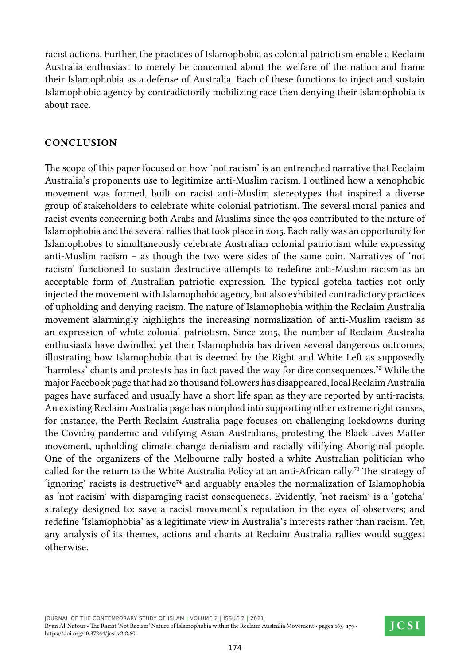racist actions. Further, the practices of Islamophobia as colonial patriotism enable a Reclaim Australia enthusiast to merely be concerned about the welfare of the nation and frame their Islamophobia as a defense of Australia. Each of these functions to inject and sustain Islamophobic agency by contradictorily mobilizing race then denying their Islamophobia is about race.

### **Conclusion**

The scope of this paper focused on how 'not racism' is an entrenched narrative that Reclaim Australia's proponents use to legitimize anti-Muslim racism. I outlined how a xenophobic movement was formed, built on racist anti-Muslim stereotypes that inspired a diverse group of stakeholders to celebrate white colonial patriotism. The several moral panics and racist events concerning both Arabs and Muslims since the 90s contributed to the nature of Islamophobia and the several rallies that took place in 2015. Each rally was an opportunity for Islamophobes to simultaneously celebrate Australian colonial patriotism while expressing anti-Muslim racism – as though the two were sides of the same coin. Narratives of 'not racism' functioned to sustain destructive attempts to redefine anti-Muslim racism as an acceptable form of Australian patriotic expression. The typical gotcha tactics not only injected the movement with Islamophobic agency, but also exhibited contradictory practices of upholding and denying racism. The nature of Islamophobia within the Reclaim Australia movement alarmingly highlights the increasing normalization of anti-Muslim racism as an expression of white colonial patriotism. Since 2015, the number of Reclaim Australia enthusiasts have dwindled yet their Islamophobia has driven several dangerous outcomes, illustrating how Islamophobia that is deemed by the Right and White Left as supposedly 'harmless' chants and protests has in fact paved the way for dire consequences.72 While the major Facebook page that had 20 thousand followers has disappeared, local Reclaim Australia pages have surfaced and usually have a short life span as they are reported by anti-racists. An existing Reclaim Australia page has morphed into supporting other extreme right causes, for instance, the Perth Reclaim Australia page focuses on challenging lockdowns during the Covid19 pandemic and vilifying Asian Australians, protesting the Black Lives Matter movement, upholding climate change denialism and racially vilifying Aboriginal people. One of the organizers of the Melbourne rally hosted a white Australian politician who called for the return to the White Australia Policy at an anti-African rally.<sup>73</sup> The strategy of 'ignoring' racists is destructive<sup>74</sup> and arguably enables the normalization of Islamophobia as 'not racism' with disparaging racist consequences. Evidently, 'not racism' is a 'gotcha' strategy designed to: save a racist movement's reputation in the eyes of observers; and redefine 'Islamophobia' as a legitimate view in Australia's interests rather than racism. Yet, any analysis of its themes, actions and chants at Reclaim Australia rallies would suggest otherwise.

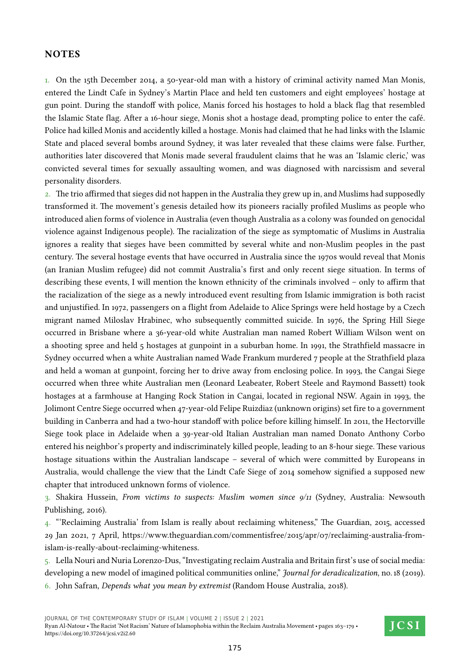#### **NOTES**

1. On the 15th December 2014, a 50-year-old man with a history of criminal activity named Man Monis, entered the Lindt Cafe in Sydney's Martin Place and held ten customers and eight employees' hostage at gun point. During the standoff with police, Manis forced his hostages to hold a black flag that resembled the Islamic State flag. After a 16-hour siege, Monis shot a hostage dead, prompting police to enter the café. Police had killed Monis and accidently killed a hostage. Monis had claimed that he had links with the Islamic State and placed several bombs around Sydney, it was later revealed that these claims were false. Further, authorities later discovered that Monis made several fraudulent claims that he was an 'Islamic cleric,' was convicted several times for sexually assaulting women, and was diagnosed with narcissism and several personality disorders.

2. The trio affirmed that sieges did not happen in the Australia they grew up in, and Muslims had supposedly transformed it. The movement's genesis detailed how its pioneers racially profiled Muslims as people who introduced alien forms of violence in Australia (even though Australia as a colony was founded on genocidal violence against Indigenous people). The racialization of the siege as symptomatic of Muslims in Australia ignores a reality that sieges have been committed by several white and non-Muslim peoples in the past century. The several hostage events that have occurred in Australia since the 1970s would reveal that Monis (an Iranian Muslim refugee) did not commit Australia's first and only recent siege situation. In terms of describing these events, I will mention the known ethnicity of the criminals involved – only to affirm that the racialization of the siege as a newly introduced event resulting from Islamic immigration is both racist and unjustified. In 1972, passengers on a flight from Adelaide to Alice Springs were held hostage by a Czech migrant named Miloslav Hrabinec, who subsequently committed suicide. In 1976, the Spring Hill Siege occurred in Brisbane where a 36-year-old white Australian man named Robert William Wilson went on a shooting spree and held 5 hostages at gunpoint in a suburban home. In 1991, the Strathfield massacre in Sydney occurred when a white Australian named Wade Frankum murdered 7 people at the Strathfield plaza and held a woman at gunpoint, forcing her to drive away from enclosing police. In 1993, the Cangai Siege occurred when three white Australian men (Leonard Leabeater, Robert Steele and Raymond Bassett) took hostages at a farmhouse at Hanging Rock Station in Cangai, located in regional NSW. Again in 1993, the Jolimont Centre Siege occurred when 47-year-old Felipe Ruizdiaz (unknown origins) set fire to a government building in Canberra and had a two-hour standoff with police before killing himself. In 2011, the Hectorville Siege took place in Adelaide when a 39-year-old Italian Australian man named Donato Anthony Corbo entered his neighbor's property and indiscriminately killed people, leading to an 8-hour siege. These various hostage situations within the Australian landscape – several of which were committed by Europeans in Australia, would challenge the view that the Lindt Cafe Siege of 2014 somehow signified a supposed new chapter that introduced unknown forms of violence.

3. Shakira Hussein, *From victims to suspects: Muslim women since 9/11* (Sydney, Australia: Newsouth Publishing, 2016).

4. "'Reclaiming Australia' from Islam is really about reclaiming whiteness," The Guardian, 2015, accessed 29 Jan 2021, 7 April, https://www.theguardian.com/commentisfree/2015/apr/07/reclaiming-australia-fromislam-is-really-about-reclaiming-whiteness.

5. Lella Nouri and Nuria Lorenzo-Dus, "Investigating reclaim Australia and Britain first's use of social media: developing a new model of imagined political communities online," *Journal for deradicalization*, no. 18 (2019).

6. John Safran, *Depends what you mean by extremist* (Random House Australia, 2018).

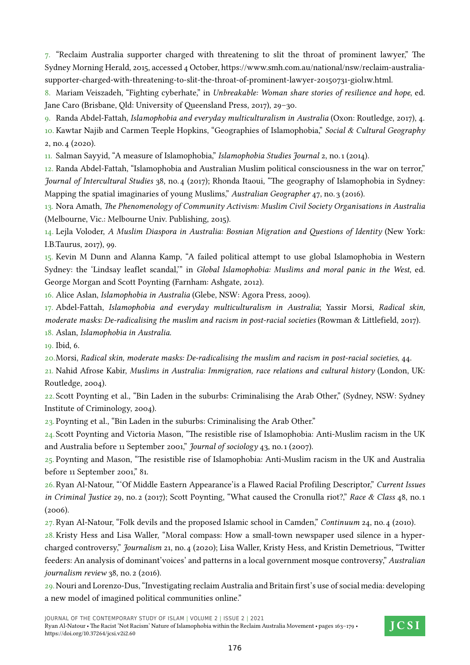7. "Reclaim Australia supporter charged with threatening to slit the throat of prominent lawyer," The Sydney Morning Herald, 2015, accessed 4 October, https://www.smh.com.au/national/nsw/reclaim-australiasupporter-charged-with-threatening-to-slit-the-throat-of-prominent-lawyer-20150731-giol1w.html.

8. Mariam Veiszadeh, "Fighting cyberhate," in *Unbreakable: Woman share stories of resilience and hope*, ed. Jane Caro (Brisbane, Qld: University of Queensland Press, 2017), 29–30.

9. Randa Abdel-Fattah, *Islamophobia and everyday multiculturalism in Australia* (Oxon: Routledge, 2017), 4.

10. Kawtar Najib and Carmen Teeple Hopkins, "Geographies of Islamophobia," *Social & Cultural Geography* 2, no. 4 (2020).

11. Salman Sayyid, "A measure of Islamophobia," *Islamophobia Studies Journal* 2, no. 1 (2014).

12. Randa Abdel-Fattah, "Islamophobia and Australian Muslim political consciousness in the war on terror," *Journal of Intercultural Studies* 38, no. 4 (2017); Rhonda Itaoui, "The geography of Islamophobia in Sydney: Mapping the spatial imaginaries of young Muslims," *Australian Geographer* 47, no. 3 (2016).

13. Nora Amath, *The Phenomenology of Community Activism: Muslim Civil Society Organisations in Australia* (Melbourne, Vic.: Melbourne Univ. Publishing, 2015).

14. Lejla Voloder, *A Muslim Diaspora in Australia: Bosnian Migration and Questions of Identity* (New York: I.B.Taurus, 2017), 99.

15. Kevin M Dunn and Alanna Kamp, "A failed political attempt to use global Islamophobia in Western Sydney: the 'Lindsay leaflet scandal,'" in *Global Islamophobia: Muslims and moral panic in the West*, ed. George Morgan and Scott Poynting (Farnham: Ashgate, 2012).

16. Alice Aslan, *Islamophobia in Australia* (Glebe, NSW: Agora Press, 2009).

17. Abdel-Fattah, *Islamophobia and everyday multiculturalism in Australia*; Yassir Morsi, *Radical skin, moderate masks: De-radicalising the muslim and racism in post-racial societies* (Rowman & Littlefield, 2017).

18. Aslan, *Islamophobia in Australia*.

19. Ibid, 6.

20.Morsi, *Radical skin, moderate masks: De-radicalising the muslim and racism in post-racial societies*, 44.

21. Nahid Afrose Kabir, *Muslims in Australia: Immigration, race relations and cultural history* (London, UK: Routledge, 2004).

22. Scott Poynting et al., "Bin Laden in the suburbs: Criminalising the Arab Other," (Sydney, NSW: Sydney Institute of Criminology, 2004).

23. Poynting et al., "Bin Laden in the suburbs: Criminalising the Arab Other."

24. Scott Poynting and Victoria Mason, "The resistible rise of Islamophobia: Anti-Muslim racism in the UK and Australia before 11 September 2001," *Journal of sociology* 43, no. 1 (2007).

25. Poynting and Mason, "The resistible rise of Islamophobia: Anti-Muslim racism in the UK and Australia before 11 September 2001," 81.

26.Ryan Al-Natour, "'Of Middle Eastern Appearance'is a Flawed Racial Profiling Descriptor," *Current Issues in Criminal Justice* 29, no. 2 (2017); Scott Poynting, "What caused the Cronulla riot?," *Race & Class* 48, no. 1  $(2006).$ 

27. Ryan Al-Natour, "Folk devils and the proposed Islamic school in Camden," *Continuum* 24, no. 4 (2010).

28.Kristy Hess and Lisa Waller, "Moral compass: How a small-town newspaper used silence in a hypercharged controversy," *Journalism* 21, no. 4 (2020); Lisa Waller, Kristy Hess, and Kristin Demetrious, "Twitter feeders: An analysis of dominant'voices' and patterns in a local government mosque controversy," *Australian journalism review* 38, no. 2 (2016).

29.Nouri and Lorenzo-Dus, "Investigating reclaim Australia and Britain first's use of social media: developing a new model of imagined political communities online."

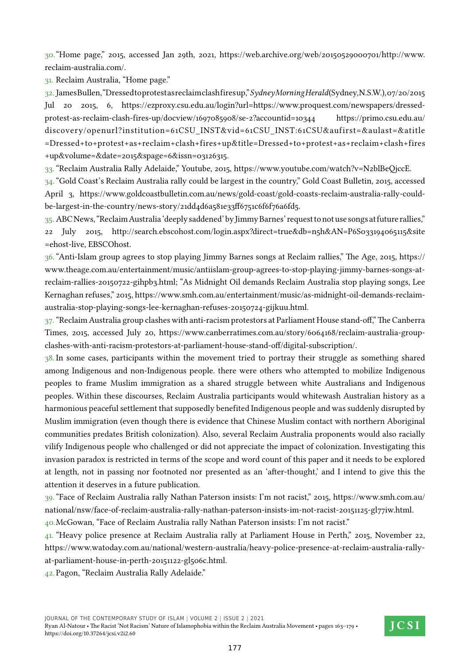30."Home page," 2015, accessed Jan 29th, 2021, https://web.archive.org/web/20150529000701/http://www. reclaim-australia.com/.

31. Reclaim Australia, "Home page."

32.James Bullen, "Dressed to protest as reclaim clash fires up," *Sydney Morning Herald* (Sydney, N.S.W.), 07/20/2015 Jul 20 2015, 6, https://ezproxy.csu.edu.au/login?url=https://www.proquest.com/newspapers/dressedprotest-as-reclaim-clash-fires-up/docview/1697085908/se-2?accountid=10344 https://primo.csu.edu.au/ discovery/openurl?institution=61CSU\_INST&vid=61CSU\_INST:61CSU&aufirst=&aulast=&atitle =Dressed+to+protest+as+reclaim+clash+fires+up&title=Dressed+to+protest+as+reclaim+clash+fires +up&volume=&date=2015&spage=6&issn=03126315.

33."Reclaim Australia Rally Adelaide," Youtube, 2015, https://www.youtube.com/watch?v=N2blBeQjccE.

34."Gold Coast's Reclaim Australia rally could be largest in the country," Gold Coast Bulletin, 2015, accessed April 3, https://www.goldcoastbulletin.com.au/news/gold-coast/gold-coasts-reclaim-australia-rally-couldbe-largest-in-the-country/news-story/21dd4d6a581e33ff6751c6f6f76a6fd5.

35. ABC News, "Reclaim Australia 'deeply saddened' by Jimmy Barnes' request to not use songs at future rallies," 22 July 2015, http://search.ebscohost.com/login.aspx?direct=true&db=n5h&AN=P6S033194065115&site =ehost-live, EBSCOhost.

36."Anti-Islam group agrees to stop playing Jimmy Barnes songs at Reclaim rallies," The Age, 2015, https:// www.theage.com.au/entertainment/music/antiislam-group-agrees-to-stop-playing-jimmy-barnes-songs-atreclaim-rallies-20150722-gihpb3.html; "As Midnight Oil demands Reclaim Australia stop playing songs, Lee Kernaghan refuses," 2015, https://www.smh.com.au/entertainment/music/as-midnight-oil-demands-reclaimaustralia-stop-playing-songs-lee-kernaghan-refuses-20150724-gijkuu.html.

37."Reclaim Australia group clashes with anti-racism protestors at Parliament House stand-off," The Canberra Times, 2015, accessed July 20, https://www.canberratimes.com.au/story/6064168/reclaim-australia-groupclashes-with-anti-racism-protestors-at-parliament-house-stand-off/digital-subscription/.

38. In some cases, participants within the movement tried to portray their struggle as something shared among Indigenous and non-Indigenous people. there were others who attempted to mobilize Indigenous peoples to frame Muslim immigration as a shared struggle between white Australians and Indigenous peoples. Within these discourses, Reclaim Australia participants would whitewash Australian history as a harmonious peaceful settlement that supposedly benefited Indigenous people and was suddenly disrupted by Muslim immigration (even though there is evidence that Chinese Muslim contact with northern Aboriginal communities predates British colonization). Also, several Reclaim Australia proponents would also racially vilify Indigenous people who challenged or did not appreciate the impact of colonization. Investigating this invasion paradox is restricted in terms of the scope and word count of this paper and it needs to be explored at length, not in passing nor footnoted nor presented as an 'after-thought,' and I intend to give this the attention it deserves in a future publication.

39."Face of Reclaim Australia rally Nathan Paterson insists: I'm not racist," 2015, https://www.smh.com.au/ national/nsw/face-of-reclaim-australia-rally-nathan-paterson-insists-im-not-racist-20151125-gl77iw.html.

40.McGowan, "Face of Reclaim Australia rally Nathan Paterson insists: I'm not racist."

41. "Heavy police presence at Reclaim Australia rally at Parliament House in Perth," 2015, November 22, https://www.watoday.com.au/national/western-australia/heavy-police-presence-at-reclaim-australia-rallyat-parliament-house-in-perth-20151122-gl506c.html.

42.Pagon, "Reclaim Australia Rally Adelaide."

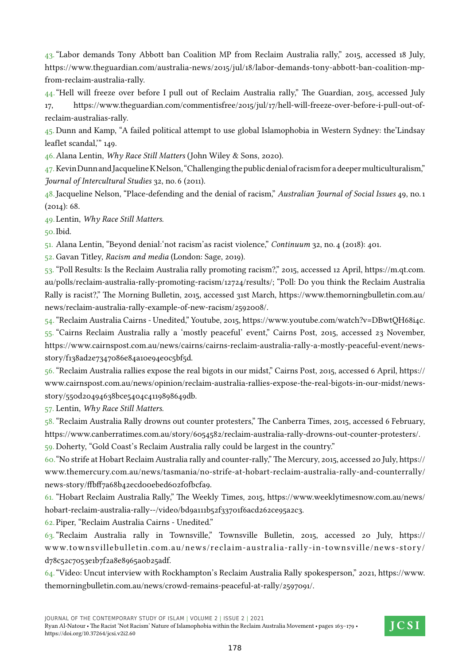43."Labor demands Tony Abbott ban Coalition MP from Reclaim Australia rally," 2015, accessed 18 July, https://www.theguardian.com/australia-news/2015/jul/18/labor-demands-tony-abbott-ban-coalition-mpfrom-reclaim-australia-rally.

44."Hell will freeze over before I pull out of Reclaim Australia rally," The Guardian, 2015, accessed July 17, https://www.theguardian.com/commentisfree/2015/jul/17/hell-will-freeze-over-before-i-pull-out-ofreclaim-australias-rally.

45. Dunn and Kamp, "A failed political attempt to use global Islamophobia in Western Sydney: the'Lindsay leaflet scandal,'" 149.

46.Alana Lentin, *Why Race Still Matters* (John Wiley & Sons, 2020).

47.Kevin Dunn and Jacqueline K Nelson, "Challenging the public denial of racism for a deeper multiculturalism," *Journal of Intercultural Studies* 32, no. 6 (2011).

48.Jacqueline Nelson, "Place‐defending and the denial of racism," *Australian Journal of Social Issues* 49, no. 1  $(2014): 68.$ 

49.Lentin, *Why Race Still Matters*.

50.Ibid.

51. Alana Lentin, "Beyond denial:'not racism'as racist violence," *Continuum* 32, no. 4 (2018): 401.

52. Gavan Titley, *Racism and media* (London: Sage, 2019).

53. "Poll Results: Is the Reclaim Australia rally promoting racism?," 2015, accessed 12 April, https://m.qt.com. au/polls/reclaim-australia-rally-promoting-racism/12724/results/; "Poll: Do you think the Reclaim Australia Rally is racist?," The Morning Bulletin, 2015, accessed 31st March, https://www.themorningbulletin.com.au/ news/reclaim-australia-rally-example-of-new-racism/2592008/.

54."Reclaim Australia Cairns - Unedited," Youtube, 2015, https://www.youtube.com/watch?v=DBwtQH68i4c. 55. "Cairns Reclaim Australia rally a 'mostly peaceful' event," Cairns Post, 2015, accessed 23 November, https://www.cairnspost.com.au/news/cairns/cairns-reclaim-australia-rally-a-mostly-peaceful-event/newsstory/f138ad2e7347086e84a10e94e0c5bf5d.

56."Reclaim Australia rallies expose the real bigots in our midst," Cairns Post, 2015, accessed 6 April, https:// www.cairnspost.com.au/news/opinion/reclaim-australia-rallies-expose-the-real-bigots-in-our-midst/newsstory/550d20494638bce5404c4119898649db.

57. Lentin, *Why Race Still Matters*.

58."Reclaim Australia Rally drowns out counter protesters," The Canberra Times, 2015, accessed 6 February, https://www.canberratimes.com.au/story/6054582/reclaim-australia-rally-drowns-out-counter-protesters/.

59. Doherty, "Gold Coast's Reclaim Australia rally could be largest in the country."

60."No strife at Hobart Reclaim Australia rally and counter-rally," The Mercury, 2015, accessed 20 July, https:// www.themercury.com.au/news/tasmania/no-strife-at-hobart-reclaim-australia-rally-and-counterrally/ news-story/ffbff7a68b42ecd00ebed602f0fbcfa9.

61. "Hobart Reclaim Australia Rally," The Weekly Times, 2015, https://www.weeklytimesnow.com.au/news/ hobart-reclaim-australia-rally--/video/bd9a111b52f33701f6acd262ce95a2c3.

62.Piper, "Reclaim Australia Cairns - Unedited."

63."Reclaim Australia rally in Townsville," Townsville Bulletin, 2015, accessed 20 July, https:// www.townsvillebulletin.com.au/news/reclaim-australia-rally-in-townsville/news-story/ d78c52c7053e1b7f2a8e8965a0b25adf.

64."Video: Uncut interview with Rockhampton's Reclaim Australia Rally spokesperson," 2021, https://www. themorningbulletin.com.au/news/crowd-remains-peaceful-at-rally/2597091/.